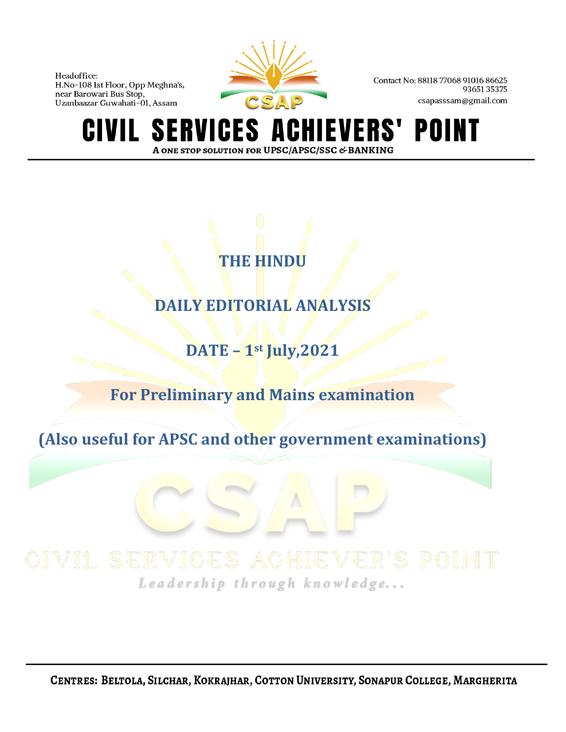

Contact No: 88118 77068 91016 86625 9365135375 csapasssam@gmail.com

**ERVICES A SI** EVERS' POINT GIVIL A ONE STOP SOLUTION FOR UPSC/APSC/SSC & BANKING

# **THE HINDU**

# **DAILY EDITORIAL ANALYSIS**

**DATE – 1st July,2021**

**For Preliminary and Mains examination**

**(Also useful for APSC and other government examinations)**

Leadership through knowledge...

CENTRES: BELTOLA, SILCHAR, KOKRAJHAR, COTTON UNIVERSITY, SONAPUR COLLEGE, MARGHERITA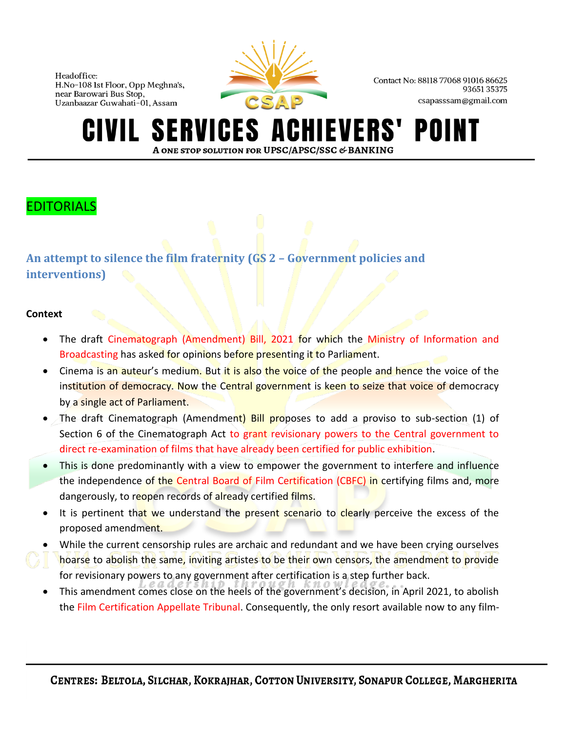

Contact No: 88118 77068 91016 86625 9365135375 csapasssam@gmail.com

#### **ERVICES A** HIEVERS' POINT A ONE STOP SOLUTION FOR UPSC/APSC/SSC & BANKING

## EDITORIALS

**An attempt to silence the film fraternity (GS 2 – Government policies and interventions)**

#### **Context**

- The draft Cinematograph (Amendment) Bill, 2021 for which the Ministry of Information and Broadcasting has asked for opinions before presenting it to Parliament.
- Cinema is an auteur's medium. But it is also the voice of the people and hence the voice of the institution of democracy. Now the Central government is keen to seize that voice of democracy by a single act of Parliament.
- The draft Cinematograph (Amendment) Bill proposes to add a proviso to sub-section (1) of Section 6 of the Cinematograph Act to grant revisionary powers to the Central government to direct re-examination of films that have already been certified for public exhibition.
- This is done predominantly with a view to empower the government to interfere and influence the independence of the Central Board of Film Certification (CBFC) in certifying films and, more dangerously, to reopen records of already certified films.
- It is pertinent that we understand the present scenario to clearly perceive the excess of the proposed amendment.
- While the current censorship rules are archaic and redundant and we have been crying ourselves hoarse to abolish the same, inviting artistes to be their own censors, the amendment to provide for revisionary powers to any government after certification is a step further back.
- This amendment comes close on the heels of the government's decision, in April 2021, to abolish the Film Certification Appellate Tribunal. Consequently, the only resort available now to any film-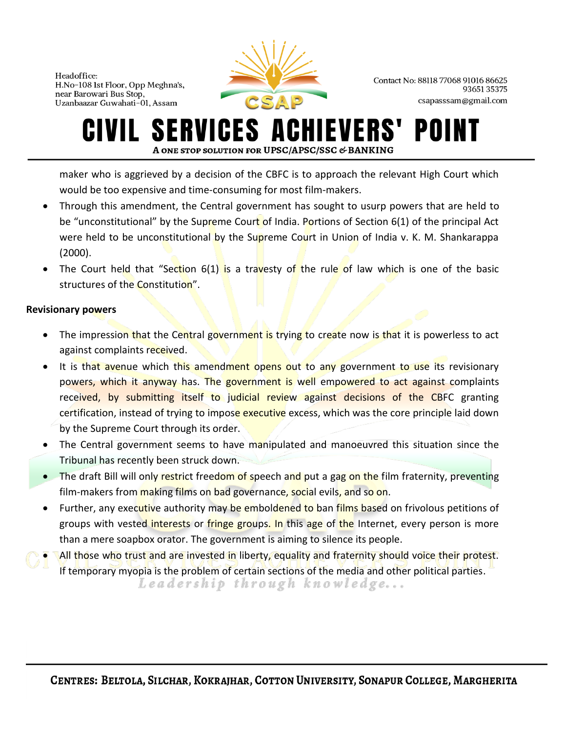

Contact No: 88118 77068 91016 86625 9365135375 csapasssam@gmail.com

#### ERVICES A **IEVERS'** POI A ONE STOP SOLUTION FOR UPSC/APSC/SSC & BANKING

maker who is aggrieved by a decision of the CBFC is to approach the relevant High Court which would be too expensive and time-consuming for most film-makers.

- Through this amendment, the Central government has sought to usurp powers that are held to be "unconstitutional" by the Supreme Court of India. Portions of Section  $6(1)$  of the principal Act were held to be unconstitutional by the Supreme Court in Union of India v. K. M. Shankarappa (2000).
- The Court held that "Section 6(1) is a travesty of the rule of law which is one of the basic structures of the Constitution".

#### **Revisionary powers**

- The impression that the Central government is trying to create now is that it is powerless to act against complaints received.
- It is that avenue which this amendment opens out to any government to use its revisionary powers, which it anyway has. The government is well empowered to act against complaints received, by submitting itself to judicial review against decisions of the CBFC granting certification, instead of trying to impose executive excess, which was the core principle laid down by the Supreme Court through its order.
- The Central government seems to have manipulated and manoeuvred this situation since the Tribunal has recently been struck down.
- The draft Bill will only restrict freedom of speech and put a gag on the film fraternity, preventing film-makers from making films on bad governance, social evils, and so on.
- Further, any executive authority may be emboldened to ban films based on frivolous petitions of groups with vested interests or fringe groups. In this age of the Internet, every person is more than a mere soapbox orator. The government is aiming to silence its people.
- All those who trust and are invested in liberty, equality and fraternity should voice their protest. If temporary myopia is the problem of certain sections of the media and other political parties.Leadership through knowledge...